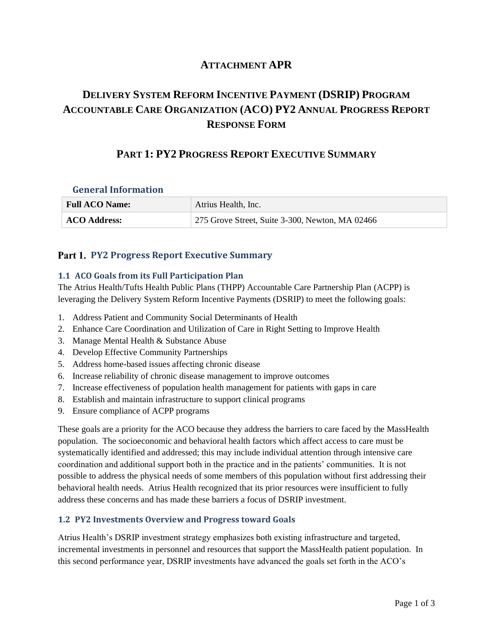# **ATTACHMENT APR**

# **DELIVERY SYSTEM REFORM INCENTIVE PAYMENT (DSRIP) PROGRAM ACCOUNTABLE CARE ORGANIZATION (ACO) PY2 ANNUAL PROGRESS REPORT RESPONSE FORM**

# **PART 1: PY2 PROGRESS REPORT EXECUTIVE SUMMARY**

### **General Information**

| <b>Full ACO Name:</b> | Atrius Health, Inc.                             |
|-----------------------|-------------------------------------------------|
| <b>ACO Address:</b>   | 275 Grove Street, Suite 3-300, Newton, MA 02466 |

## **Part 1. PY2 Progress Report Executive Summary**

### **1.1 ACO Goals from its Full Participation Plan**

The Atrius Health/Tufts Health Public Plans (THPP) Accountable Care Partnership Plan (ACPP) is leveraging the Delivery System Reform Incentive Payments (DSRIP) to meet the following goals:

- 1. Address Patient and Community Social Determinants of Health
- 2. Enhance Care Coordination and Utilization of Care in Right Setting to Improve Health
- 3. Manage Mental Health & Substance Abuse
- 4. Develop Effective Community Partnerships
- 5. Address home-based issues affecting chronic disease
- 6. Increase reliability of chronic disease management to improve outcomes
- 7. Increase effectiveness of population health management for patients with gaps in care
- 8. Establish and maintain infrastructure to support clinical programs
- 9. Ensure compliance of ACPP programs

These goals are a priority for the ACO because they address the barriers to care faced by the MassHealth population. The socioeconomic and behavioral health factors which affect access to care must be systematically identified and addressed; this may include individual attention through intensive care coordination and additional support both in the practice and in the patients' communities. It is not possible to address the physical needs of some members of this population without first addressing their behavioral health needs. Atrius Health recognized that its prior resources were insufficient to fully address these concerns and has made these barriers a focus of DSRIP investment.

## **1.2 PY2 Investments Overview and Progress toward Goals**

Atrius Health's DSRIP investment strategy emphasizes both existing infrastructure and targeted, incremental investments in personnel and resources that support the MassHealth patient population. In this second performance year, DSRIP investments have advanced the goals set forth in the ACO's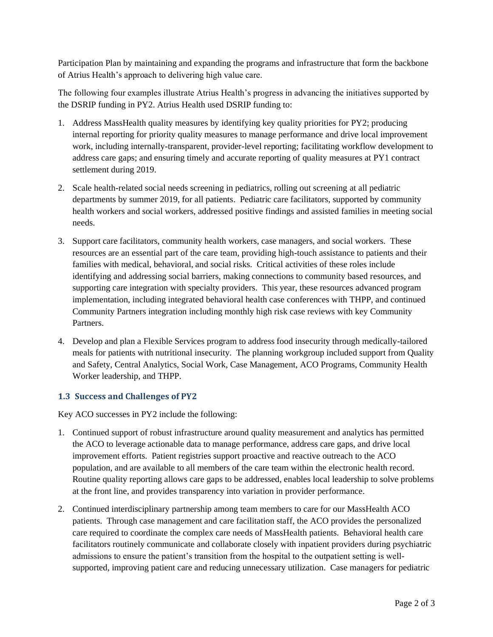Participation Plan by maintaining and expanding the programs and infrastructure that form the backbone of Atrius Health's approach to delivering high value care.

The following four examples illustrate Atrius Health's progress in advancing the initiatives supported by the DSRIP funding in PY2. Atrius Health used DSRIP funding to:

- 1. Address MassHealth quality measures by identifying key quality priorities for PY2; producing internal reporting for priority quality measures to manage performance and drive local improvement work, including internally-transparent, provider-level reporting; facilitating workflow development to address care gaps; and ensuring timely and accurate reporting of quality measures at PY1 contract settlement during 2019.
- 2. Scale health-related social needs screening in pediatrics, rolling out screening at all pediatric departments by summer 2019, for all patients. Pediatric care facilitators, supported by community health workers and social workers, addressed positive findings and assisted families in meeting social needs.
- 3. Support care facilitators, community health workers, case managers, and social workers. These resources are an essential part of the care team, providing high-touch assistance to patients and their families with medical, behavioral, and social risks. Critical activities of these roles include identifying and addressing social barriers, making connections to community based resources, and supporting care integration with specialty providers. This year, these resources advanced program implementation, including integrated behavioral health case conferences with THPP, and continued Community Partners integration including monthly high risk case reviews with key Community Partners.
- 4. Develop and plan a Flexible Services program to address food insecurity through medically-tailored meals for patients with nutritional insecurity. The planning workgroup included support from Quality and Safety, Central Analytics, Social Work, Case Management, ACO Programs, Community Health Worker leadership, and THPP.

## **1.3 Success and Challenges of PY2**

Key ACO successes in PY2 include the following:

- 1. Continued support of robust infrastructure around quality measurement and analytics has permitted the ACO to leverage actionable data to manage performance, address care gaps, and drive local improvement efforts. Patient registries support proactive and reactive outreach to the ACO population, and are available to all members of the care team within the electronic health record. Routine quality reporting allows care gaps to be addressed, enables local leadership to solve problems at the front line, and provides transparency into variation in provider performance.
- 2. Continued interdisciplinary partnership among team members to care for our MassHealth ACO patients. Through case management and care facilitation staff, the ACO provides the personalized care required to coordinate the complex care needs of MassHealth patients. Behavioral health care facilitators routinely communicate and collaborate closely with inpatient providers during psychiatric admissions to ensure the patient's transition from the hospital to the outpatient setting is wellsupported, improving patient care and reducing unnecessary utilization. Case managers for pediatric